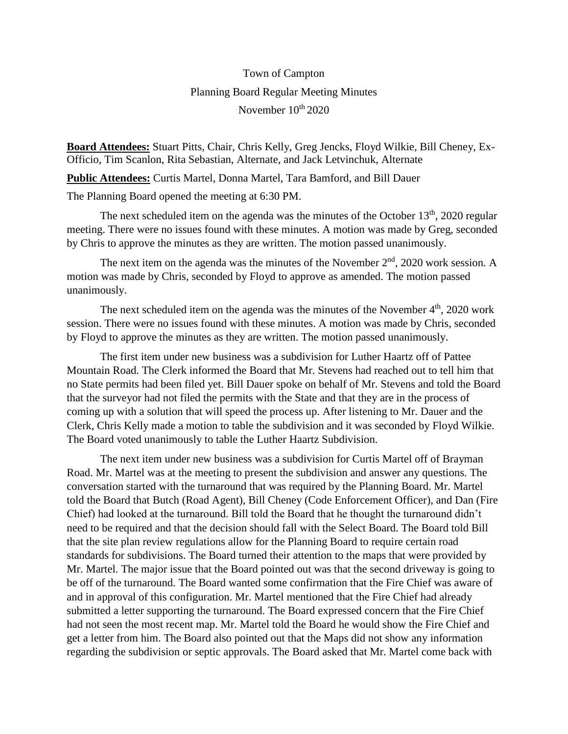## Town of Campton Planning Board Regular Meeting Minutes November  $10^{\text{th}}$  2020

**Board Attendees:** Stuart Pitts, Chair, Chris Kelly, Greg Jencks, Floyd Wilkie, Bill Cheney, Ex-Officio, Tim Scanlon, Rita Sebastian, Alternate, and Jack Letvinchuk, Alternate

**Public Attendees:** Curtis Martel, Donna Martel, Tara Bamford, and Bill Dauer

The Planning Board opened the meeting at 6:30 PM.

The next scheduled item on the agenda was the minutes of the October  $13<sup>th</sup>$ , 2020 regular meeting. There were no issues found with these minutes. A motion was made by Greg, seconded by Chris to approve the minutes as they are written. The motion passed unanimously.

The next item on the agenda was the minutes of the November  $2<sup>nd</sup>$ , 2020 work session. A motion was made by Chris, seconded by Floyd to approve as amended. The motion passed unanimously.

The next scheduled item on the agenda was the minutes of the November  $4<sup>th</sup>$ , 2020 work session. There were no issues found with these minutes. A motion was made by Chris, seconded by Floyd to approve the minutes as they are written. The motion passed unanimously.

The first item under new business was a subdivision for Luther Haartz off of Pattee Mountain Road. The Clerk informed the Board that Mr. Stevens had reached out to tell him that no State permits had been filed yet. Bill Dauer spoke on behalf of Mr. Stevens and told the Board that the surveyor had not filed the permits with the State and that they are in the process of coming up with a solution that will speed the process up. After listening to Mr. Dauer and the Clerk, Chris Kelly made a motion to table the subdivision and it was seconded by Floyd Wilkie. The Board voted unanimously to table the Luther Haartz Subdivision.

The next item under new business was a subdivision for Curtis Martel off of Brayman Road. Mr. Martel was at the meeting to present the subdivision and answer any questions. The conversation started with the turnaround that was required by the Planning Board. Mr. Martel told the Board that Butch (Road Agent), Bill Cheney (Code Enforcement Officer), and Dan (Fire Chief) had looked at the turnaround. Bill told the Board that he thought the turnaround didn't need to be required and that the decision should fall with the Select Board. The Board told Bill that the site plan review regulations allow for the Planning Board to require certain road standards for subdivisions. The Board turned their attention to the maps that were provided by Mr. Martel. The major issue that the Board pointed out was that the second driveway is going to be off of the turnaround. The Board wanted some confirmation that the Fire Chief was aware of and in approval of this configuration. Mr. Martel mentioned that the Fire Chief had already submitted a letter supporting the turnaround. The Board expressed concern that the Fire Chief had not seen the most recent map. Mr. Martel told the Board he would show the Fire Chief and get a letter from him. The Board also pointed out that the Maps did not show any information regarding the subdivision or septic approvals. The Board asked that Mr. Martel come back with